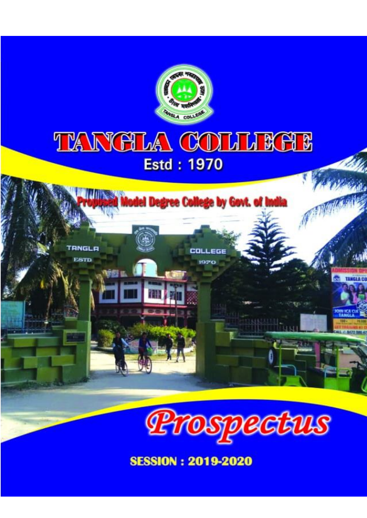

# TANGLA þ  $\mathbb{B}$ **Estd: 1970**





**SESSION: 2019-2020**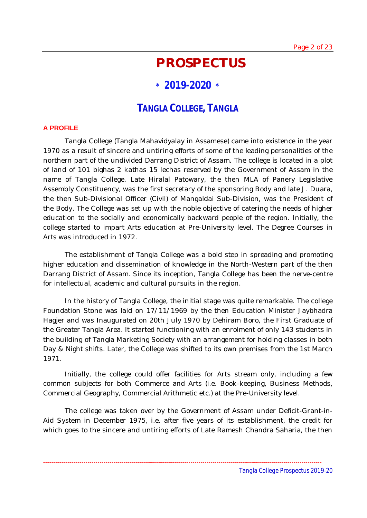Page 2 of 23

# **PROSPECTUS**

# **\* 2019-2020 \***

# **TANGLA COLLEGE, TANGLA**

# **A PROFILE**

Tangla College (Tangla Mahavidyalay in Assamese) came into existence in the year 1970 as a result of sincere and untiring efforts of some of the leading personalities of the northern part of the undivided Darrang District of Assam. The college is located in a plot of land of 101 bighas 2 kathas 15 lechas reserved by the Government of Assam in the name of Tangla College. Late Hiralal Patowary, the then MLA of Panery Legislative Assembly Constituency, was the first secretary of the sponsoring Body and late J. Duara, the then Sub-Divisional Officer (Civil) of Mangaldai Sub-Division, was the President of the Body. The College was set up with the noble objective of catering the needs of higher education to the socially and economically backward people of the region. Initially, the college started to impart Arts education at Pre-University level. The Degree Courses in Arts was introduced in 1972.

The establishment of Tangla College was a bold step in spreading and promoting higher education and dissemination of knowledge in the North-Western part of the then Darrang District of Assam. Since its inception, Tangla College has been the nerve-centre for intellectual, academic and cultural pursuits in the region.

In the history of Tangla College, the initial stage was quite remarkable. The college Foundation Stone was laid on 17/11/1969 by the then Education Minister Jaybhadra Hagjer and was Inaugurated on 20th July 1970 by Dehiram Boro, the First Graduate of the Greater Tangla Area. It started functioning with an enrolment of only 143 students in the building of Tangla Marketing Society with an arrangement for holding classes in both Day & Night shifts. Later, the College was shifted to its own premises from the 1st March 1971.

Initially, the college could offer facilities for Arts stream only, including a few common subjects for both Commerce and Arts (i.e. Book-keeping, Business Methods, Commercial Geography, Commercial Arithmetic etc.) at the Pre-University level.

The college was taken over by the Government of Assam under Deficit-Grant-in-Aid System in December 1975, i.e. after five years of its establishment, the credit for which goes to the sincere and untiring efforts of Late Ramesh Chandra Saharia, the then

*------------------------------------------------------------------------------------------------------------------------------------------ Tangla College Prospectus 2019-20*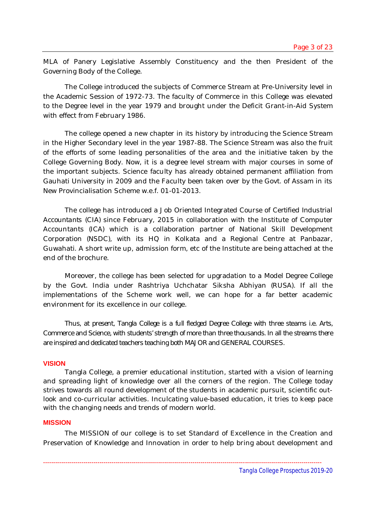MLA of Panery Legislative Assembly Constituency and the then President of the Governing Body of the College.

The College introduced the subjects of Commerce Stream at Pre-University level in the Academic Session of 1972-73. The faculty of Commerce in this College was elevated to the Degree level in the year 1979 and brought under the Deficit Grant-in-Aid System with effect from February 1986.

The college opened a new chapter in its history by introducing the Science Stream in the Higher Secondary level in the year 1987-88. The Science Stream was also the fruit of the efforts of some leading personalities of the area and the initiative taken by the College Governing Body. Now, it is a degree level stream with major courses in some of the important subjects. Science faculty has already obtained permanent affiliation from Gauhati University in 2009 and the Faculty been taken over by the Govt. of Assam in its New Provincialisation Scheme w.e.f. 01-01-2013.

The college has introduced a Job Oriented Integrated Course of *Certified Industrial Accountants* (CIA) since February, 2015 in collaboration with the Institute of Computer Accountants (ICA) which is a collaboration partner of National Skill Development Corporation (NSDC), with its HQ in Kolkata and a Regional Centre at Panbazar, Guwahati. A short write up, admission form, etc of the Institute are being attached at the end of the brochure.

Moreover, the college has been selected for upgradation to a *Model Degree College* by the Govt. India under Rashtriya Uchchatar Siksha Abhiyan (RUSA). If all the implementations of the Scheme work well, we can hope for a far better academic environment for its excellence in our college.

Thus, at present, Tangla College is a full fledged Degree College with three steams i.e. Arts, Commerce and Science, with students' strength of more than three thousands. In all the streams there are inspired and dedicated teachers teaching both MAJOR and GENERAL COURSES.

### **VISION**

Tangla College, a premier educational institution, started with a vision of learning and spreading light of knowledge over all the corners of the region. The College today strives towards all round development of the students in academic pursuit, scientific outlook and co-curricular activities. Inculcating value-based education, it tries to keep pace with the changing needs and trends of modern world.

### **MISSION**

The MISSION of our college is to set Standard of Excellence in the Creation and Preservation of Knowledge and Innovation in order to help bring about development and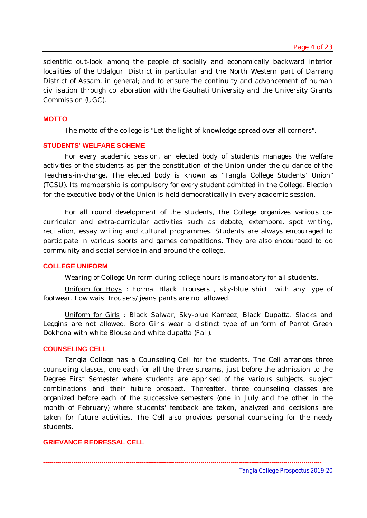scientific out-look among the people of socially and economically backward interior localities of the Udalguri District in particular and the North Western part of Darrang District of Assam, in general; and to ensure the continuity and advancement of human civilisation through collaboration with the Gauhati University and the University Grants Commission (UGC).

### **MOTTO**

The motto of the college is "Let the light of knowledge spread over all corners".

### **STUDENTS' WELFARE SCHEME**

For every academic session, an elected body of students manages the welfare activities of the students as per the constitution of the Union under the guidance of the Teachers-in-charge. The elected body is known as "*Tangla College Students' Union*" (TCSU). Its membership is compulsory for every student admitted in the College. Election for the executive body of the Union is held democratically in every academic session.

For all round development of the students, the College organizes various cocurricular and extra-curricular activities such as debate, extempore, spot writing, recitation, essay writing and cultural programmes. Students are always encouraged to participate in various sports and games competitions. They are also encouraged to do community and social service in and around the college.

### **COLLEGE UNIFORM**

Wearing of College Uniform during college hours is mandatory for all students.

*Uniform for Boys* : Formal Black Trousers , sky-blue shirt with any type of footwear. Low waist trousers/jeans pants are not allowed.

*Uniform for Girls* : Black *Salwar*, Sky-blue *Kameez*, Black *Dupatta*. Slacks and Leggins are not allowed. Boro Girls wear a distinct type of uniform of Parrot Green *Dokhona* with white Blouse and white *dupatta* (*Fali*).

### **COUNSELING CELL**

Tangla College has a Counseling Cell for the students. The Cell arranges three counseling classes, one each for all the three streams, just before the admission to the Degree First Semester where students are apprised of the various subjects, subject combinations and their future prospect. Thereafter, three counseling classes are organized before each of the successive semesters (one in July and the other in the month of February) where students' feedback are taken, analyzed and decisions are taken for future activities. The Cell also provides personal counseling for the needy students.

*------------------------------------------------------------------------------------------------------------------------------------------*

# **GRIEVANCE REDRESSAL CELL**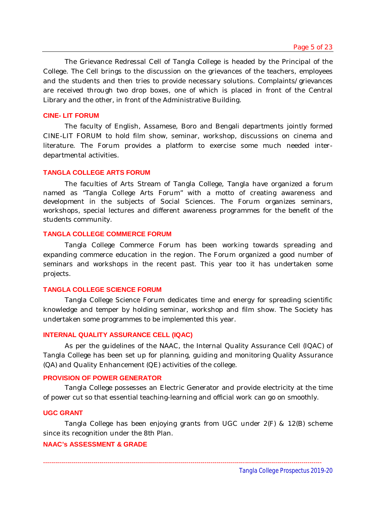The Grievance Redressal Cell of Tangla College is headed by the Principal of the College. The Cell brings to the discussion on the grievances of the teachers, employees and the students and then tries to provide necessary solutions. Complaints/grievances are received through two drop boxes, one of which is placed in front of the Central Library and the other, in front of the Administrative Building.

#### **CINE- LIT FORUM**

The faculty of English, Assamese, Boro and Bengali departments jointly formed CINE-LIT FORUM to hold film show, seminar, workshop, discussions on cinema and literature. The Forum provides a platform to exercise some much needed interdepartmental activities.

### **TANGLA COLLEGE ARTS FORUM**

The faculties of Arts Stream of Tangla College, Tangla have organized a forum named as "Tangla College Arts Forum" with a motto of creating awareness and development in the subjects of Social Sciences. The Forum organizes seminars, workshops, special lectures and different awareness programmes for the benefit of the students community.

### **TANGLA COLLEGE COMMERCE FORUM**

Tangla College Commerce Forum has been working towards spreading and expanding commerce education in the region. The Forum organized a good number of seminars and workshops in the recent past. This year too it has undertaken some projects.

# **TANGLA COLLEGE SCIENCE FORUM**

Tangla College Science Forum dedicates time and energy for spreading scientific knowledge and temper by holding seminar, workshop and film show. The Society has undertaken some programmes to be implemented this year.

### **INTERNAL QUALITY ASSURANCE CELL (IQAC)**

As per the guidelines of the NAAC, the Internal Quality Assurance Cell (IQAC) of Tangla College has been set up for planning, guiding and monitoring Quality Assurance (QA) and Quality Enhancement (QE) activities of the college.

### **PROVISION OF POWER GENERATOR**

Tangla College possesses an Electric Generator and provide electricity at the time of power cut so that essential teaching-learning and official work can go on smoothly.

#### **UGC GRANT**

Tangla College has been enjoying grants from UGC under 2(F) & 12(B) scheme since its recognition under the 8th Plan.

*------------------------------------------------------------------------------------------------------------------------------------------*

### **NAAC's ASSESSMENT & GRADE**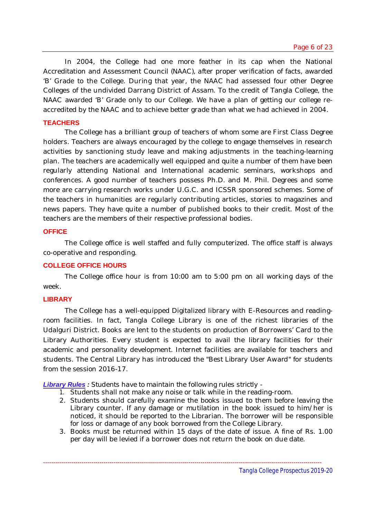In 2004, the College had one more feather in its cap when the National Accreditation and Assessment Council (NAAC), after proper verification of facts, awarded 'B' Grade to the College. During that year, the NAAC had assessed four other Degree Colleges of the undivided Darrang District of Assam. To the credit of Tangla College, the NAAC awarded 'B' Grade only to our College. We have a plan of getting our college reaccredited by the NAAC and to achieve better grade than what we had achieved in 2004.

### **TEACHERS**

The College has a brilliant group of teachers of whom some are First Class Degree holders. Teachers are always encouraged by the college to engage themselves in research activities by sanctioning study leave and making adjustments in the teaching-learning plan. The teachers are academically well equipped and quite a number of them have been regularly attending National and International academic seminars, workshops and conferences. A good number of teachers possess Ph.D. and M. Phil. Degrees and some more are carrying research works under U.G.C. and ICSSR sponsored schemes. Some of the teachers in humanities are regularly contributing articles, stories to magazines and news papers. They have quite a number of published books to their credit. Most of the teachers are the members of their respective professional bodies.

### **OFFICE**

The College office is well staffed and fully computerized. The office staff is always co-operative and responding.

# **COLLEGE OFFICE HOURS**

The College office hour is from 10:00 am to 5:00 pm on all working days of the week.

# **LIBRARY**

The College has a well-equipped Digitalized library with E-Resources and readingroom facilities. In fact, Tangla College Library is one of the richest libraries of the Udalguri District. Books are lent to the students on production of Borrowers' Card to the Library Authorities. Every student is expected to avail the library facilities for their academic and personality development. Internet facilities are available for teachers and students. The Central Library has introduced the "*Best Library User Award*" for students from the session 2016-17.

*Library Rules : Students have to maintain the following rules strictly -*

1. Students shall not make any noise or talk while in the reading-room.

- 2. Students should carefully examine the books issued to them before leaving the Library counter. If any damage or mutilation in the book issued to him/her is noticed, it should be reported to the Librarian. The borrower will be responsible for loss or damage of any book borrowed from the College Library.
- 3. Books must be returned within 15 days of the date of issue. A fine of Rs. 1.00 per day will be levied if a borrower does not return the book on due date.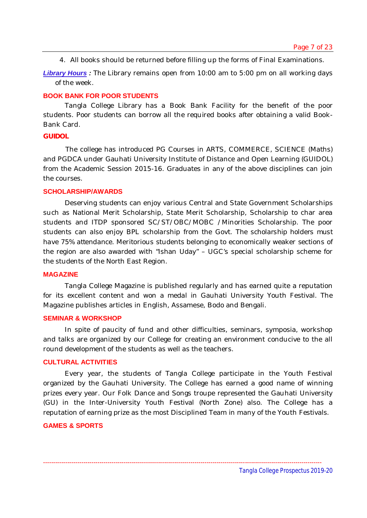4. All books should be returned before filling up the forms of Final Examinations.

**Library Hours** : The Library remains open from 10:00 am to 5:00 pm on all working days of the week.

#### **BOOK BANK FOR POOR STUDENTS**

Tangla College Library has a Book Bank Facility for the benefit of the poor students. Poor students can borrow all the required books after obtaining a valid Book-Bank Card.

### **GUIDOL**

The college has introduced PG Courses in ARTS, COMMERCE, SCIENCE (Maths) and PGDCA under Gauhati University Institute of Distance and Open Learning (GUIDOL) from the Academic Session 2015-16. Graduates in any of the above disciplines can join the courses.

### **SCHOLARSHIP/AWARDS**

Deserving students can enjoy various Central and State Government Scholarships such as National Merit Scholarship, State Merit Scholarship, Scholarship to char area students and ITDP sponsored SC/ST/OBC/MOBC /Minorities Scholarship. The poor students can also enjoy BPL scholarship from the Govt. *The scholarship holders must have 75% attendance.* Meritorious students belonging to economically weaker sections of the region are also awarded with "Ishan Uday" – UGC's special scholarship scheme for the students of the North East Region.

#### **MAGAZINE**

Tangla College Magazine is published regularly and has earned quite a reputation for its excellent content and won a medal in Gauhati University Youth Festival. The Magazine publishes articles in English, Assamese, Bodo and Bengali.

# **SEMINAR & WORKSHOP**

In spite of paucity of fund and other difficulties, seminars, symposia, workshop and talks are organized by our College for creating an environment conducive to the all round development of the students as well as the teachers.

### **CULTURAL ACTIVITIES**

Every year, the students of Tangla College participate in the Youth Festival organized by the Gauhati University. The College has earned a good name of winning prizes every year. Our Folk Dance and Songs troupe represented the Gauhati University (GU) in the Inter-University Youth Festival (North Zone) also. The College has a reputation of earning prize as the most Disciplined Team in many of the Youth Festivals.

*------------------------------------------------------------------------------------------------------------------------------------------*

### **GAMES & SPORTS**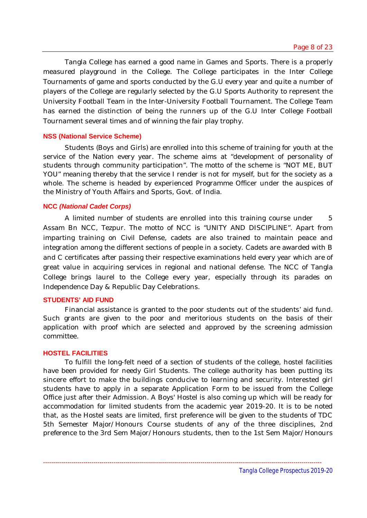Tangla College has earned a good name in Games and Sports. There is a properly measured playground in the College. The College participates in the Inter College Tournaments of game and sports conducted by the G.U every year and quite a number of players of the College are regularly selected by the G.U Sports Authority to represent the University Football Team in the Inter-University Football Tournament. The College Team has earned the distinction of being the runners up of the G.U Inter College Football Tournament several times and of winning the fair play trophy.

### **NSS (National Service Scheme)**

Students (Boys and Girls) are enrolled into this scheme of training for youth at the service of the Nation every year. The scheme aims at "development of personality of students through community participation". The motto of the scheme is "NOT ME, BUT YOU" meaning thereby that the service I render is not for myself, but for the society as a whole. The scheme is headed by experienced Programme Officer under the auspices of the Ministry of Youth Affairs and Sports, Govt. of India.

### **NCC** *(National Cadet Corps)*

A limited number of students are enrolled into this training course under 5 Assam Bn NCC, Tezpur. The motto of NCC is "UNITY AND DISCIPLINE". Apart from imparting training on Civil Defense, cadets are also trained to maintain peace and integration among the different sections of people in a society. Cadets are awarded with B and C certificates after passing their respective examinations held every year which are of great value in acquiring services in regional and national defense. The NCC of Tangla College brings laurel to the College every year, especially through its parades on Independence Day & Republic Day Celebrations.

### **STUDENTS' AID FUND**

Financial assistance is granted to the poor students out of the students' aid fund. Such grants are given to the poor and meritorious students on the basis of their application with proof which are selected and approved by the screening admission committee.

### **HOSTEL FACILITIES**

To fulfill the long-felt need of a section of students of the college, hostel facilities have been provided for needy Girl Students. The college authority has been putting its sincere effort to make the buildings conducive to learning and security. Interested girl students have to apply in a separate Application Form to be issued from the College Office just after their Admission. A Boys' Hostel is also coming up which will be ready for accommodation for limited students from the academic year 2019-20. It is to be noted that, as the Hostel seats are limited, first preference will be given to the students of TDC 5th Semester Major/Honours Course students of any of the three disciplines, 2nd preference to the 3rd Sem Major/Honours students, then to the 1st Sem Major/Honours

*------------------------------------------------------------------------------------------------------------------------------------------*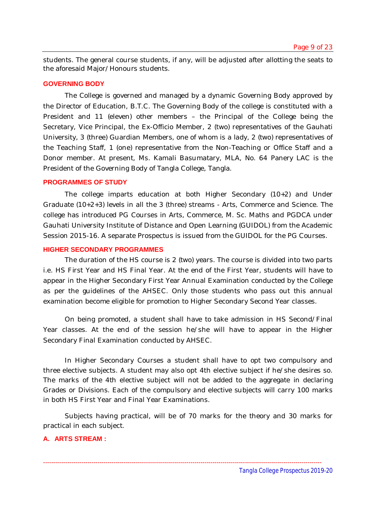students. The general course students, if any, will be adjusted after allotting the seats to the aforesaid Major/Honours students.

### **GOVERNING BODY**

The College is governed and managed by a dynamic Governing Body approved by the Director of Education, B.T.C. The Governing Body of the college is constituted with a President and 11 (eleven) other members – the Principal of the College being the Secretary, Vice Principal, the Ex-Officio Member, 2 (two) representatives of the Gauhati University, 3 (three) Guardian Members, one of whom is a lady, 2 (two) representatives of the Teaching Staff, 1 (one) representative from the Non-Teaching or Office Staff and a Donor member. At present, Ms. Kamali Basumatary, MLA, No. 64 Panery LAC is the President of the Governing Body of Tangla College, Tangla.

### **PROGRAMMES OF STUDY**

The college imparts education at both Higher Secondary (10+2) and Under Graduate (10+2+3) levels in all the 3 (three) streams - Arts, Commerce and Science. The college has introduced PG Courses in Arts, Commerce, M. Sc. Maths and PGDCA under Gauhati University Institute of Distance and Open Learning (GUIDOL) from the Academic Session 2015-16. A separate Prospectus is issued from the GUIDOL for the PG Courses.

### **HIGHER SECONDARY PROGRAMMES**

The duration of the HS course is 2 (two) years. The course is divided into two parts i.e. HS First Year and HS Final Year. At the end of the First Year, students will have to appear in the Higher Secondary First Year Annual Examination conducted by the College as per the guidelines of the AHSEC. Only those students who pass out this annual examination become eligible for promotion to Higher Secondary Second Year classes.

On being promoted, a student shall have to take admission in HS Second/Final Year classes. At the end of the session he/she will have to appear in the Higher Secondary Final Examination conducted by AHSEC.

In Higher Secondary Courses a student shall have to opt two compulsory and three elective subjects. A student may also opt 4th elective subject if he/she desires so. The marks of the 4th elective subject will not be added to the aggregate in declaring Grades or Divisions. Each of the compulsory and elective subjects will carry 100 marks in both HS First Year and Final Year Examinations.

Subjects having practical, will be of 70 marks for the theory and 30 marks for practical in each subject.

*------------------------------------------------------------------------------------------------------------------------------------------*

# **A. ARTS STREAM :**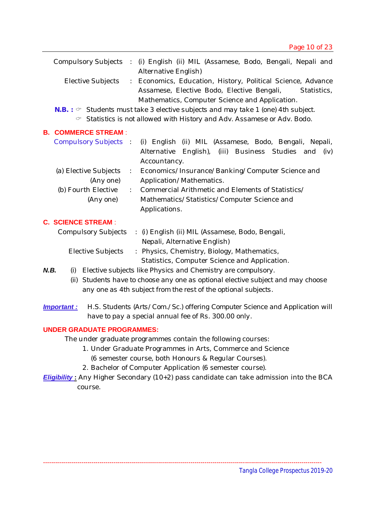| Compulsory Subjects : (i) English (ii) MIL (Assamese, Bodo, Bengali, Nepali and                                                                                   |  |
|-------------------------------------------------------------------------------------------------------------------------------------------------------------------|--|
| Alternative English)                                                                                                                                              |  |
| Elective Subjects<br>: Economics, Education, History, Political Science, Advance                                                                                  |  |
| Assamese, Elective Bodo, Elective Bengali,<br>Statistics,                                                                                                         |  |
| Mathematics, Computer Science and Application.                                                                                                                    |  |
| <b>N.B.</b> : $\circ$ Students must take 3 elective subjects and may take 1 (one) 4th subject.                                                                    |  |
| Statistics is not allowed with History and Adv. Assamese or Adv. Bodo.                                                                                            |  |
| <b>B. COMMERCE STREAM:</b>                                                                                                                                        |  |
|                                                                                                                                                                   |  |
| Compulsory Subjects : (i) English (ii) MIL (Assamese, Bodo, Bengali, Nepali,<br>(iii) Business Studies<br>English),<br>Alternative<br>(iv)<br>and<br>Accountancy. |  |
| (a) Elective Subjects<br>Economics/Insurance/Banking/Computer Science and<br>÷                                                                                    |  |
| (Any one)<br>Application/Mathematics.                                                                                                                             |  |
| (b) Fourth Elective<br>Commercial Arithmetic and Elements of Statistics/<br>÷.                                                                                    |  |
| Mathematics/Statistics/Computer Science and<br>(Any one)                                                                                                          |  |

# **C. SCIENCE STREAM** :

| Compulsory Subjects | : (i) English (ii) MIL (Assamese, Bodo, Bengali, |
|---------------------|--------------------------------------------------|
|                     | Nepali, Alternative English)                     |
| Elective Subjects   | : Physics, Chemistry, Biology, Mathematics,      |
|                     | Statistics, Computer Science and Application.    |

- *N.B. (i) Elective subjects like Physics and Chemistry are compulsory.*
	- *(ii) Students have to choose any one as optional elective subject and may choose any one as 4th subject from the rest of the optional subjects.*
- *Important : H.S. Students (Arts/Com./Sc.) offering Computer Science and Application will have to pay a special annual fee of Rs. 300.00 only.*

# **UNDER GRADUATE PROGRAMMES:**

The under graduate programmes contain the following courses:

- 1. Under Graduate Programmes in Arts, Commerce and Science
	- (6 semester course, both Honours & Regular Courses).
- 2. Bachelor of Computer Application (6 semester course).
- **Eligibility**: Any Higher Secondary (10+2) pass candidate can take admission into the BCA course.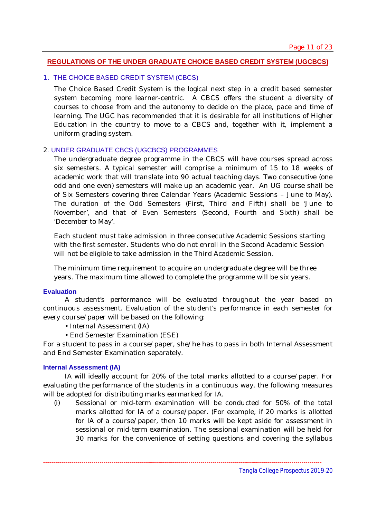# **REGULATIONS OF THE UNDER GRADUATE CHOICE BASED CREDIT SYSTEM (UGCBCS)**

# 1. THE CHOICE BASED CREDIT SYSTEM (CBCS)

The Choice Based Credit System is the logical next step in a credit based semester system becoming more learner-centric. A CBCS offers the student a diversity of courses to choose from and the autonomy to decide on the place, pace and time of learning. The UGC has recommended that it is desirable for all institutions of Higher Education in the country to move to a CBCS and, together with it, implement a uniform grading system.

# 2. UNDER GRADUATE CBCS (UGCBCS) PROGRAMMES

The undergraduate degree programme in the CBCS will have courses spread across six semesters. A typical semester will comprise a minimum of 15 to 18 weeks of academic work that will translate into 90 actual teaching days. Two consecutive (one odd and one even) semesters will make up an academic year. An UG course shall be of Six Semesters covering three Calendar Years (Academic Sessions – June to May). The duration of the Odd Semesters (First, Third and Fifth) shall be 'June to November', and that of Even Semesters (Second, Fourth and Sixth) shall be 'December to May'.

Each student must take admission in three consecutive Academic Sessions starting with the first semester. Students who do not enroll in the Second Academic Session will not be eligible to take admission in the Third Academic Session.

The minimum time requirement to acquire an undergraduate degree will be three years. The maximum time allowed to complete the programme will be six years.

# **Evaluation**

A student's performance will be evaluated throughout the year based on continuous assessment. Evaluation of the student's performance in each semester for every course/paper will be based on the following:

- Internal Assessment (IA)
- End Semester Examination (ESE)

For a student to pass in a course/paper, she/he has to pass in both Internal Assessment and End Semester Examination separately.

# **Internal Assessment (IA)**

IA will ideally account for 20% of the total marks allotted to a course/paper. For evaluating the performance of the students in a continuous way, the following measures will be adopted for distributing marks earmarked for IA.

(i) Sessional or mid-term examination will be conducted for 50% of the total marks allotted for IA of a course/paper. (For example, if 20 marks is allotted for IA of a course/paper, then 10 marks will be kept aside for assessment in sessional or mid-term examination. The sessional examination will be held for 30 marks for the convenience of setting questions and covering the syllabus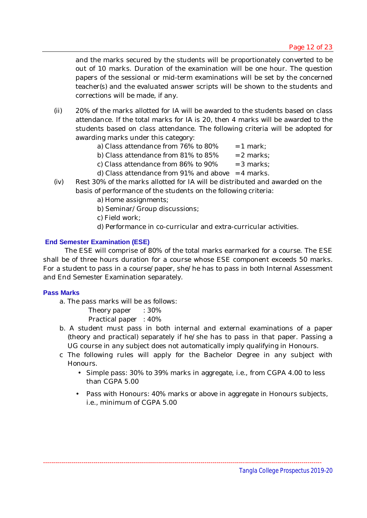and the marks secured by the students will be proportionately converted to be out of 10 marks. Duration of the examination will be one hour. The question papers of the sessional or mid-term examinations will be set by the concerned teacher(s) and the evaluated answer scripts will be shown to the students and corrections will be made, if any.

- (ii) 20% of the marks allotted for IA will be awarded to the students based on class attendance. If the total marks for IA is 20, then 4 marks will be awarded to the students based on class attendance. The following criteria will be adopted for awarding marks under this category:
	- a) Class attendance from 76% to 80%  $= 1$  mark;
	- b) Class attendance from  $81\%$  to  $85\%$  = 2 marks;
	- c) Class attendance from  $86\%$  to  $90\%$  = 3 marks;
	- d) Class attendance from 91% and above  $=$  4 marks.
- (iv) Rest 30% of the marks allotted for IA will be distributed and awarded on the basis of performance of the students on the following criteria:
	- a) Home assignments;
	- b) Seminar/Group discussions;
	- c) Field work;
	- d) Performance in co-curricular and extra-curricular activities.

# **End Semester Examination (ESE)**

The ESE will comprise of 80% of the total marks earmarked for a course. The ESE shall be of three hours duration for a course whose ESE component exceeds 50 marks. For a student to pass in a course/paper, she/he has to pass in both Internal Assessment and End Semester Examination separately.

# **Pass Marks**

- a. The pass marks will be as follows:
	- Theory paper : 30%
	- Practical paper : 40%
- b. A student must pass in both internal and external examinations of a paper (theory and practical) separately if he/she has to pass in that paper. Passing a UG course in any subject does not automatically imply qualifying in Honours.
- c The following rules will apply for the Bachelor Degree in any subject with Honours.
	- Simple pass: 30% to 39% marks in aggregate, i.e., from CGPA 4.00 to less than CGPA 5.00
	- Pass with Honours: 40% marks or above in aggregate in Honours subjects, i.e., minimum of CGPA 5.00

*------------------------------------------------------------------------------------------------------------------------------------------*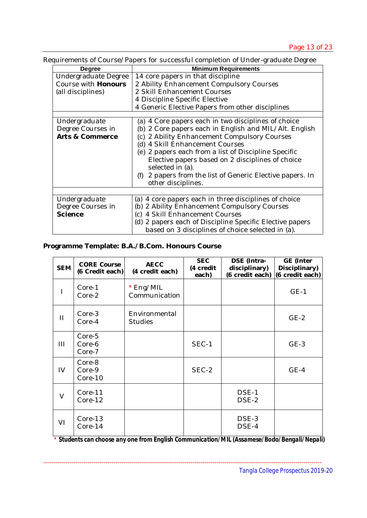Requirements of Course/Papers for successful completion of Under-graduate Degree

| <b>Degree</b>                                                    | <b>Minimum Requirements</b>                                                                                                                                                                                                                                                                                                                                                                                            |
|------------------------------------------------------------------|------------------------------------------------------------------------------------------------------------------------------------------------------------------------------------------------------------------------------------------------------------------------------------------------------------------------------------------------------------------------------------------------------------------------|
| Undergraduate Degree                                             | 14 core papers in that discipline                                                                                                                                                                                                                                                                                                                                                                                      |
| Course with Honours                                              | 2 Ability Enhancement Compulsory Courses                                                                                                                                                                                                                                                                                                                                                                               |
| (all disciplines)                                                | 2 Skill Enhancement Courses                                                                                                                                                                                                                                                                                                                                                                                            |
|                                                                  | 4 Discipline Specific Elective                                                                                                                                                                                                                                                                                                                                                                                         |
|                                                                  | 4 Generic Elective Papers from other disciplines                                                                                                                                                                                                                                                                                                                                                                       |
|                                                                  |                                                                                                                                                                                                                                                                                                                                                                                                                        |
| Undergraduate<br>Degree Courses in<br><b>Arts &amp; Commerce</b> | (a) 4 Core papers each in two disciplines of choice<br>(b) 2 Core papers each in English and MIL/Alt. English<br>(c) 2 Ability Enhancement Compulsory Courses<br>(d) 4 Skill Enhancement Courses<br>(e) 2 papers each from a list of Discipline Specific<br>Elective papers based on 2 disciplines of choice<br>selected in (a).<br>2 papers from the list of Generic Elective papers. In<br>(f)<br>other disciplines. |
|                                                                  |                                                                                                                                                                                                                                                                                                                                                                                                                        |
| Undergraduate                                                    | (a) 4 core papers each in three disciplines of choice                                                                                                                                                                                                                                                                                                                                                                  |
| Degree Courses in                                                | (b) 2 Ability Enhancement Compulsory Courses                                                                                                                                                                                                                                                                                                                                                                           |
| <b>Science</b>                                                   | (c) 4 Skill Enhancement Courses                                                                                                                                                                                                                                                                                                                                                                                        |
|                                                                  | (d) 2 papers each of Discipline Specific Elective papers                                                                                                                                                                                                                                                                                                                                                               |
|                                                                  | based on 3 disciplines of choice selected in (a).                                                                                                                                                                                                                                                                                                                                                                      |

# **Programme Template: B.A./B.Com. Honours Course**

| <b>SEM</b>     | <b>CORE Course</b><br>(6 Credit each) | <b>AECC</b><br>(4 credit each)  | <b>SEC</b><br>(4 credit<br>each) | DSE (Intra-<br>disciplinary)<br>(6 credit each) | <b>GE</b> (Inter<br>Disciplinary)<br>(6 credit each) |
|----------------|---------------------------------------|---------------------------------|----------------------------------|-------------------------------------------------|------------------------------------------------------|
|                | Core-1<br>Core-2                      | Eng/MIL<br>Communication        |                                  |                                                 | $GE-1$                                               |
| $\mathbf{I}$   | Core-3<br>Core-4                      | Environmental<br><b>Studies</b> |                                  |                                                 | $GE-2$                                               |
| $\mathbf{III}$ | Core-5<br>Core-6<br>Core-7            |                                 | SEC-1                            |                                                 | $GE-3$                                               |
| IV             | Core-8<br>Core-9<br>Core-10           |                                 | SEC-2                            |                                                 | $GE-4$                                               |
| $\vee$         | Core-11<br>Core-12                    |                                 |                                  | DSE-1<br>DSE-2                                  |                                                      |
| VI             | Core-13<br>Core-14                    |                                 |                                  | DSE-3<br>DSE-4                                  |                                                      |

\* *Students can choose any one from English Communication/MIL (Assamese/Bodo/Bengali/Nepali)*

*------------------------------------------------------------------------------------------------------------------------------------------ Tangla College Prospectus 2019-20*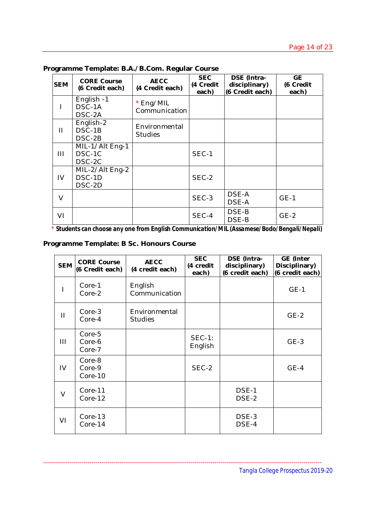| <b>SEM</b> | <b>CORE Course</b><br>(6 Credit each) | <b>AECC</b><br>(4 Credit each)  | <b>SEC</b><br>(4 Credit<br>each) | DSE (Intra-<br>disciplinary)<br>(6 Credit each) | <b>GE</b><br>(6 Credit<br>each) |
|------------|---------------------------------------|---------------------------------|----------------------------------|-------------------------------------------------|---------------------------------|
|            | English -1<br>DSC-1A<br>DSC-2A        | * Eng/MIL<br>Communication      |                                  |                                                 |                                 |
| П          | English-2<br>DSC-1B<br>DSC-2B         | Environmental<br><b>Studies</b> |                                  |                                                 |                                 |
| Ш          | MIL-1/Alt Eng-1<br>DSC-1C<br>DSC-2C   |                                 | SEC-1                            |                                                 |                                 |
| IV         | MIL-2/Alt Eng-2<br>DSC-1D<br>DSC-2D   |                                 | SEC-2                            |                                                 |                                 |
| $\vee$     |                                       |                                 | SEC-3                            | DSE-A<br>DSE-A                                  | $GE-1$                          |
| VI         |                                       |                                 | SEC-4                            | DSE-B<br>DSE-B                                  | $GE-2$                          |

**Programme Template: B.A./B.Com. Regular Course**

\* *Students can choose any one from English Communication/MIL (Assamese/Bodo/Bengali/Nepali)*

# **Programme Template: B Sc. Honours Course**

| <b>SEM</b>     | <b>CORE Course</b><br>(6 Credit each) | <b>AECC</b><br>(4 credit each)  | <b>SEC</b><br>(4 credit<br>each) | DSE (Intra-<br>disciplinary)<br>(6 credit each) | GE (Inter<br>Disciplinary)<br>(6 credit each) |
|----------------|---------------------------------------|---------------------------------|----------------------------------|-------------------------------------------------|-----------------------------------------------|
| $\overline{1}$ | Core-1<br>Core-2                      | English<br>Communication        |                                  |                                                 | $GE-1$                                        |
| $\mathbf{H}$   | Core-3<br>Core-4                      | Environmental<br><b>Studies</b> |                                  |                                                 | $GE-2$                                        |
| Ш              | Core-5<br>Core-6<br>Core-7            |                                 | $SEC-1:$<br>English              |                                                 | $GE-3$                                        |
| IV             | Core-8<br>Core-9<br>Core-10           |                                 | SEC-2                            |                                                 | $GE-4$                                        |
| $\vee$         | Core-11<br>Core-12                    |                                 |                                  | DSE-1<br>DSE-2                                  |                                               |
| VI             | Core-13<br>Core-14                    |                                 |                                  | DSE-3<br>DSE-4                                  |                                               |

*------------------------------------------------------------------------------------------------------------------------------------------ Tangla College Prospectus 2019-20*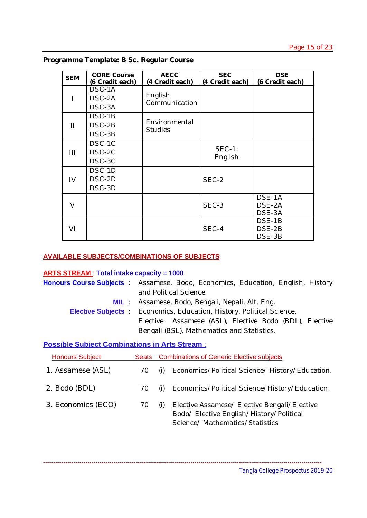| <b>SEM</b>    | <b>CORE Course</b><br>(6 Credit each) | <b>AECC</b><br>(4 Credit each)  | <b>SEC</b><br>(4 Credit each) | <b>DSE</b><br>(6 Credit each) |
|---------------|---------------------------------------|---------------------------------|-------------------------------|-------------------------------|
|               | DSC-1A<br>DSC-2A<br>DSC-3A            | English<br>Communication        |                               |                               |
| $\mathbf{H}$  | DSC-1B<br>DSC-2B<br>DSC-3B            | Environmental<br><b>Studies</b> |                               |                               |
| Ш             | DSC-1C<br>DSC-2C<br>DSC-3C            |                                 | <b>SEC-1:</b><br>English      |                               |
| $\mathsf{IV}$ | DSC-1D<br>DSC-2D<br>DSC-3D            |                                 | SEC-2                         |                               |
| $\vee$        |                                       |                                 | SEC-3                         | DSE-1A<br>DSE-2A<br>DSE-3A    |
| VI            |                                       |                                 | SEC-4                         | DSE-1B<br>DSE-2B<br>DSE-3B    |

# **Programme Template: B Sc. Regular Course**

# **AVAILABLE SUBJECTS/COMBINATIONS OF SUBJECTS**

# **ARTS STREAM** : **Total intake capacity = 1000**

| <b>Honours Course Subjects</b> : Assamese, Bodo, Economics, Education, English, History |  |  |  |  |
|-----------------------------------------------------------------------------------------|--|--|--|--|
| and Political Science.                                                                  |  |  |  |  |
| MIL: Assamese, Bodo, Bengali, Nepali, Alt. Eng.                                         |  |  |  |  |
| <b>Elective Subjects</b> : Economics, Education, History, Political Science,            |  |  |  |  |
| Elective Assamese (ASL), Elective Bodo (BDL), Elective                                  |  |  |  |  |
| Bengali (BSL), Mathematics and Statistics.                                              |  |  |  |  |
|                                                                                         |  |  |  |  |

# **Possible Subject Combinations in Arts Stream** :

| <b>Honours Subject</b> |     |     | Seats Combinations of Generic Elective subjects                                                                            |
|------------------------|-----|-----|----------------------------------------------------------------------------------------------------------------------------|
| 1. Assamese (ASL)      | 70. | (i) | Economics/Political Science/ History/Education.                                                                            |
| 2. Bodo (BDL)          | 70  | (i) | Economics/Political Science/History/Education.                                                                             |
| 3. Economics (ECO)     | 70  | (i) | Elective Assamese/ Elective Bengali/Elective<br>Bodo/ Elective English/History/Political<br>Science/Mathematics/Statistics |

*------------------------------------------------------------------------------------------------------------------------------------------*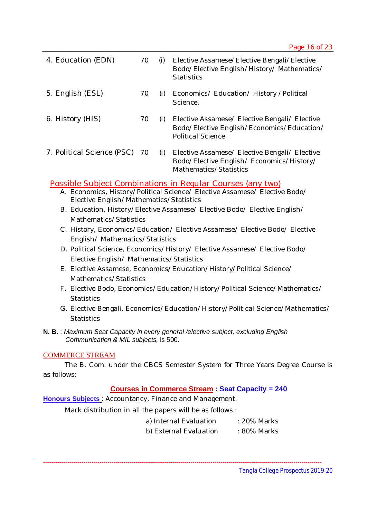|                            |    |     | Page 16 of 23                                                                                                           |
|----------------------------|----|-----|-------------------------------------------------------------------------------------------------------------------------|
| 4. Education (EDN)         | 70 | (i) | Elective Assamese/Elective Bengali/Elective<br>Bodo/Elective English/History/ Mathematics/<br><b>Statistics</b>         |
| 5. English (ESL)           | 70 | (i) | Economics/Education/History/Political<br>Science,                                                                       |
| 6. History (HIS)           | 70 | (i) | Elective Assamese/ Elective Bengali/ Elective<br>Bodo/Elective English/Economics/Education/<br><b>Political Science</b> |
| 7. Political Science (PSC) | 70 | (i) | Elective Assamese/ Elective Bengali/ Elective<br>Bodo/Elective English/ Economics/History/<br>Mathematics/Statistics    |

# Possible Subject Combinations in Regular Courses (any two)

- A. Economics, History/Political Science/ Elective Assamese/ Elective Bodo/ Elective English/Mathematics/Statistics
- B. Education, History/Elective Assamese/ Elective Bodo/ Elective English/ Mathematics/Statistics
- C. History, Economics/Education/ Elective Assamese/ Elective Bodo/ Elective English/ Mathematics/Statistics
- D. Political Science, Economics/History/ Elective Assamese/ Elective Bodo/ Elective English/ Mathematics/Statistics
- E. Elective Assamese, Economics/Education/History/Political Science/ Mathematics/Statistics
- F. Elective Bodo, Economics/Education/History/Political Science/Mathematics/ **Statistics**
- G. Elective Bengali, Economics/Education/History/Political Science/Mathematics/ **Statistics**

# **N. B.** : *Maximum Seat Capacity in every general /elective subject, excluding English Communication & MIL subjects,* is 500.

# COMMERCE STREAM

The B. Com. under the CBCS Semester System for Three Years Degree Course is as follows:

*------------------------------------------------------------------------------------------------------------------------------------------*

# **Courses in Commerce Stream : Seat Capacity = 240**

**Honours Subjects** : Accountancy, Finance and Management.

Mark distribution in all the papers will be as follows :

a) Internal Evaluation : 20% Marks

b) External Evaluation : 80% Marks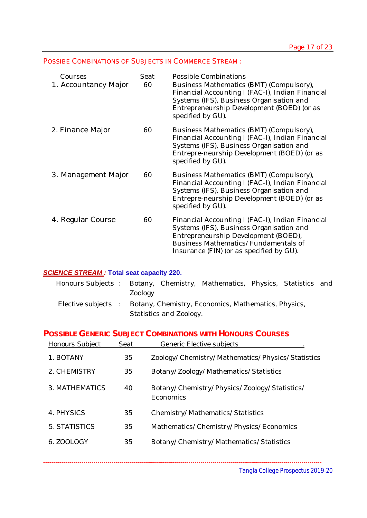# POSSIBE COMBINATIONS OF SUBJECTS IN COMMERCE STREAM :

| Courses              | Seat | Possible Combinations                                                                                                                                                                                                    |
|----------------------|------|--------------------------------------------------------------------------------------------------------------------------------------------------------------------------------------------------------------------------|
| 1. Accountancy Major | 60   | Business Mathematics (BMT) (Compulsory),<br>Financial Accounting I (FAC-I), Indian Financial<br>Systems (IFS), Business Organisation and<br>Entrepreneurship Development (BOED) (or as<br>specified by GU).              |
| 2. Finance Major     | 60   | Business Mathematics (BMT) (Compulsory),<br>Financial Accounting I (FAC-I), Indian Financial<br>Systems (IFS), Business Organisation and<br>Entrepre-neurship Development (BOED) (or as<br>specified by GU).             |
| 3. Management Major  | 60   | Business Mathematics (BMT) (Compulsory),<br>Financial Accounting I (FAC-I), Indian Financial<br>Systems (IFS), Business Organisation and<br>Entrepre-neurship Development (BOED) (or as<br>specified by GU).             |
| 4. Regular Course    | 60   | Financial Accounting I (FAC-I), Indian Financial<br>Systems (IFS), Business Organisation and<br>Entrepreneurship Development (BOED),<br>Business Mathematics/Fundamentals of<br>Insurance (FIN) (or as specified by GU). |

# *SCIENCE STREAM :* **Total seat capacity 220.**

| Honours Subjects:   |         |                         | Botany, Chemistry, Mathematics, Physics, Statistics and |  |  |
|---------------------|---------|-------------------------|---------------------------------------------------------|--|--|
|                     | Zoology |                         |                                                         |  |  |
| Elective subjects : |         |                         | Botany, Chemistry, Economics, Mathematics, Physics,     |  |  |
|                     |         | Statistics and Zoology. |                                                         |  |  |

# **POSSIBLE GENERIC SUBJECT COMBINATIONS WITH HONOURS COURSES**

| <b>Honours Subject</b> | Seat | Generic Elective subjects                                        |
|------------------------|------|------------------------------------------------------------------|
| 1. BOTANY              | 35   | Zoology/Chemistry/Mathematics/Physics/Statistics                 |
| 2. CHEMISTRY           | 35   | Botany/Zoology/Mathematics/Statistics                            |
| 3. MATHEMATICS         | 40   | Botany/Chemistry/Physics/Zoology/Statistics/<br><b>Economics</b> |
| 4. PHYSICS             | 35   | Chemistry/Mathematics/Statistics                                 |
| 5. STATISTICS          | 35   | Mathematics/Chemistry/Physics/Economics                          |
| 6. ZOOLOGY             | 35   | Botany/Chemistry/Mathematics/Statistics                          |
|                        |      |                                                                  |

*------------------------------------------------------------------------------------------------------------------------------------------*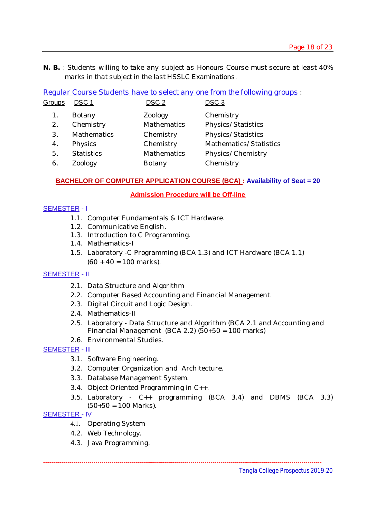*N. B. : Students willing to take any subject as Honours Course must secure at least 40% marks in that subject in the last HSSLC Examinations.*

*Regular Course Students have to select any one from the following groups :*

| Groups | DSC <sub>1</sub>  | DSC <sub>2</sub> | DSC <sub>3</sub>       |
|--------|-------------------|------------------|------------------------|
|        | Botany            | Zoology          | Chemistry              |
| 2.     | Chemistry         | Mathematics      | Physics/Statistics     |
| 3.     | Mathematics       | Chemistry        | Physics/Statistics     |
| 4.     | Physics           | Chemistry        | Mathematics/Statistics |
| 5.     | <b>Statistics</b> | Mathematics      | Physics/Chemistry      |
| 6.     | Zoology           | Botany           | Chemistry              |
|        |                   |                  |                        |

# **BACHELOR OF COMPUTER APPLICATION COURSE (BCA) : Availability of Seat = 20**

# **Admission Procedure will be Off-line**

# SEMESTER - I

- 1.1. Computer Fundamentals & ICT Hardware.
- 1.2. Communicative English.
- 1.3. Introduction to C Programming.
- 1.4. Mathematics-I
- 1.5. Laboratory -C Programming (BCA 1.3) and ICT Hardware (BCA 1.1)  $(60 + 40 = 100$  marks).

# SEMESTER - II

- 2.1. Data Structure and Algorithm
- 2.2. Computer Based Accounting and Financial Management.
- 2.3. Digital Circuit and Logic Design.
- 2.4. Mathematics-II
- 2.5. Laboratory Data Structure and Algorithm (BCA 2.1 and Accounting and Financial Management (BCA 2.2) (50+50 = 100 marks)
- 2.6. Environmental Studies.

# SEMESTER - III

- 3.1. Software Engineering.
- 3.2. Computer Organization and Architecture.
- 3.3. Database Management System.
- 3.4. Object Oriented Programming in C++.
- 3.5. Laboratory C++ programming (BCA 3.4) and DBMS (BCA 3.3)  $(50+50 = 100$  Marks).

*------------------------------------------------------------------------------------------------------------------------------------------*

# SEMESTER - IV

- 4.1. Operating System
- 4.2. Web Technology.
- 4.3. Java Programming.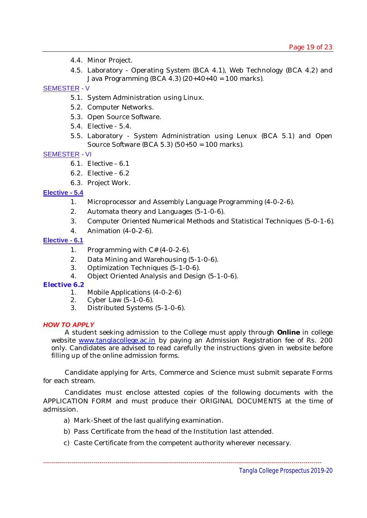- 4.4. Minor Project.
- 4.5. Laboratory Operating System (BCA 4.1), Web Technology (BCA 4.2) and Java Programming (BCA 4.3) (20+40+40 = 100 marks).

# SEMESTER - V

- 5.1. System Administration using Linux.
- 5.2. Computer Networks.
- 5.3. Open Source Software.
- 5.4. Elective 5.4.
- 5.5. Laboratory System Administration using Lenux (BCA 5.1) and Open Source Software (BCA 5.3) (50+50 = 100 marks).

# SEMESTER - VI

- 6.1. Elective 6.1
- 6.2. Elective 6.2
- 6.3. Project Work.

# **Elective - 5.4**

- 1. Microprocessor and Assembly Language Programming (4-0-2-6).
- 2. Automata theory and Languages (5-1-0-6).
- 3. Computer Oriented Numerical Methods and Statistical Techniques (5-0-1-6).
- 4. Animation (4-0-2-6).

# **Elective - 6.1**

- 1. Programming with  $C# (4-0-2-6)$ .
- 2. Data Mining and Warehousing (5-1-0-6).
- 3. Optimization Techniques (5-1-0-6).
- 4. Object Oriented Analysis and Design (5-1-0-6).

# **Elective 6.2**

- 1. Mobile Applications (4-0-2-6)
- 2. Cyber Law (5-1-0-6).
- 3. Distributed Systems (5-1-0-6).

# *HOW TO APPLY*

A student seeking admission to the College must apply through **Online** in college website www.tanglacollege.ac.in by paying an Admission Registration fee of Rs. 200 only. Candidates are advised to read carefully the instructions given in website before filling up of the online admission forms.

Candidate applying for Arts, Commerce and Science must submit separate Forms for each stream.

Candidates must enclose attested copies of the following documents with the APPLICATION FORM and must produce their ORIGINAL DOCUMENTS at the time of admission.

- a) Mark-Sheet of the last qualifying examination.
- b) Pass Certificate from the head of the Institution last attended.
- c) Caste Certificate from the competent authority wherever necessary.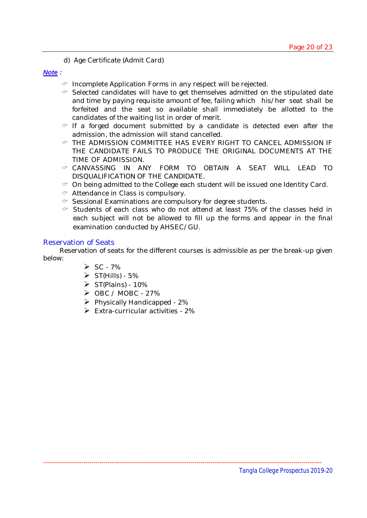d) Age Certificate (Admit Card)

# *Note :*

- $\degree$  Incomplete Application Forms in any respect will be rejected.
- $\degree$  Selected candidates will have to get themselves admitted on the stipulated date and time by paying requisite amount of fee, failing which his/her seat shall be forfeited and the seat so available shall immediately be allotted to the candidates of the waiting list in order of merit.
- $\degree$  If a forged document submitted by a candidate is detected even after the admission, the admission will stand cancelled.
- $\sigma$  THE ADMISSION COMMITTEE HAS EVERY RIGHT TO CANCEL ADMISSION IF THE CANDIDATE FAILS TO PRODUCE THE ORIGINAL DOCUMENTS AT THE TIME OF ADMISSION.
- *CANVASSING IN ANY FORM TO OBTAIN A SEAT WILL LEAD TO DISQUALIFICATION OF THE CANDIDATE.*
- $\degree$  On being admitted to the College each student will be issued one Identity Card.
- $\circ$  Attendance in Class is compulsory.
- $\degree$  Sessional Examinations are compulsory for degree students.
- $\degree$  Students of each class who do not attend at least 75% of the classes held in each subject will not be allowed to fill up the forms and appear in the final examination conducted by AHSEC/GU.

# Reservation of Seats

Reservation of seats for the different courses is admissible as per the break-up given below:

- $\triangleright$  SC 7%
- $\triangleright$  ST(Hills) 5%
- $\triangleright$  ST(Plains) 10%
- $\triangleright$  OBC / MOBC 27%
- $\triangleright$  Physically Handicapped 2%
- $\triangleright$  Extra-curricular activities 2%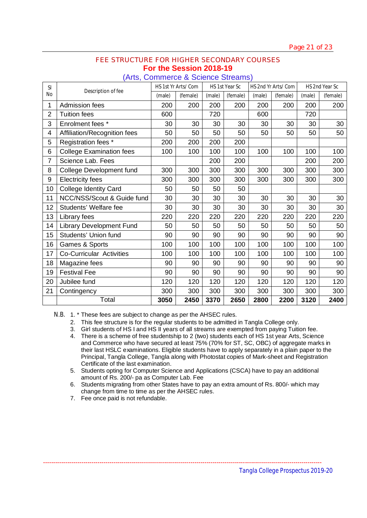Page 21 of 23

# FEE STRUCTURE FOR HIGHER SECONDARY COURSES **For the Session 2018-19**

# (Arts, Commerce & Science Streams)

| <b>SI</b>      | Description of fee              |        | HS 1st Yr Arts/Com |        | HS 1st Year Sc |        | HS 2nd Yr Arts/Com |        | HS 2nd Year Sc |  |
|----------------|---------------------------------|--------|--------------------|--------|----------------|--------|--------------------|--------|----------------|--|
| No             |                                 | (male) | (female)           | (male) | (female)       | (male) | (female)           | (male) | (female)       |  |
| 1              | Admission fees                  | 200    | 200                | 200    | 200            | 200    | 200                | 200    | 200            |  |
| $\overline{2}$ | <b>Tuition fees</b>             | 600    |                    | 720    |                | 600    |                    | 720    |                |  |
| 3              | Enrolment fees *                | 30     | 30                 | 30     | 30             | 30     | 30                 | 30     | 30             |  |
| 4              | Affiliation/Recognition fees    | 50     | 50                 | 50     | 50             | 50     | 50                 | 50     | 50             |  |
| 5              | Registration fees *             | 200    | 200                | 200    | 200            |        |                    |        |                |  |
| 6              | <b>College Examination fees</b> | 100    | 100                | 100    | 100            | 100    | 100                | 100    | 100            |  |
| $\overline{7}$ | Science Lab. Fees               |        |                    | 200    | 200            |        |                    | 200    | 200            |  |
| 8              | College Development fund        | 300    | 300                | 300    | 300            | 300    | 300                | 300    | 300            |  |
| 9              | <b>Electricity fees</b>         | 300    | 300                | 300    | 300            | 300    | 300                | 300    | 300            |  |
| 10             | College Identity Card           | 50     | 50                 | 50     | 50             |        |                    |        |                |  |
| 11             | NCC/NSS/Scout & Guide fund      | 30     | 30                 | 30     | 30             | 30     | 30                 | 30     | 30             |  |
| 12             | Students' Welfare fee           | 30     | 30                 | 30     | 30             | 30     | 30                 | 30     | 30             |  |
| 13             | Library fees                    | 220    | 220                | 220    | 220            | 220    | 220                | 220    | 220            |  |
| 14             | <b>Library Development Fund</b> | 50     | 50                 | 50     | 50             | 50     | 50                 | 50     | 50             |  |
| 15             | Students' Union fund            | 90     | 90                 | 90     | 90             | 90     | 90                 | 90     | 90             |  |
| 16             | Games & Sports                  | 100    | 100                | 100    | 100            | 100    | 100                | 100    | 100            |  |
| 17             | <b>Co-Curricular Activities</b> | 100    | 100                | 100    | 100            | 100    | 100                | 100    | 100            |  |
| 18             | Magazine fees                   | 90     | 90                 | 90     | 90             | 90     | 90                 | 90     | 90             |  |
| 19             | <b>Festival Fee</b>             | 90     | 90                 | 90     | 90             | 90     | 90                 | 90     | 90             |  |
| 20             | Jubilee fund                    | 120    | 120                | 120    | 120            | 120    | 120                | 120    | 120            |  |
| 21             | Contingency                     | 300    | 300                | 300    | 300            | 300    | 300                | 300    | 300            |  |
|                | Total                           | 3050   | 2450               | 3370   | 2650           | 2800   | 2200               | 3120   | 2400           |  |

N.B. 1. \* These fees are subject to change as per the AHSEC rules.

- 2. This fee structure is for the regular students to be admitted in Tangla College only.
- 3. Girl students of HS I and HS II years of all streams are exempted from paying Tuition fee.
- 4. There is a scheme of free studentship to 2 (two) students each of HS 1st year Arts, Science and Commerce who have secured at least 75% (70% for ST, SC, OBC) of aggregate marks in their last HSLC examinations. Eligible students have to apply separately in a plain paper to the Principal, Tangla College, Tangla along with Photostat copies of Mark-sheet and Registration Certificate of the last examination.
- 5. Students opting for Computer Science and Applications (CSCA) have to pay an additional amount of Rs. 200/- pa as Computer Lab. Fee
- 6. Students migrating from other States have to pay an extra amount of Rs. 800/- which may change from time to time as per the AHSEC rules.

*------------------------------------------------------------------------------------------------------------------------------------------*

7. Fee once paid is not refundable.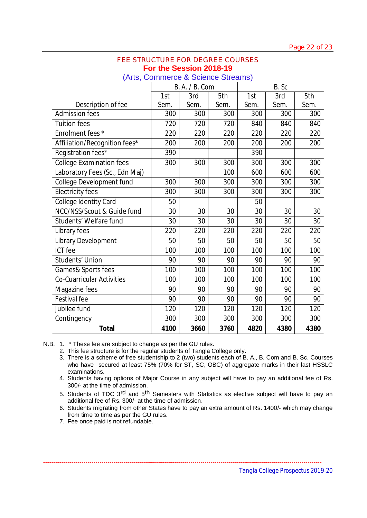# FEE STRUCTURE FOR DEGREE COURSES **For the Session 2018-19**

|                                  | B. A. / B. Com |      |      | B. Sc |      |      |  |
|----------------------------------|----------------|------|------|-------|------|------|--|
|                                  | 1st            | 3rd  | 5th  | 1st   | 3rd  | 5th  |  |
| Description of fee               | Sem.           | Sem. | Sem. | Sem.  | Sem. | Sem. |  |
| <b>Admission fees</b>            | 300            | 300  | 300  | 300   | 300  | 300  |  |
| <b>Tuition fees</b>              | 720            | 720  | 720  | 840   | 840  | 840  |  |
| Enrolment fees *                 | 220            | 220  | 220  | 220   | 220  | 220  |  |
| Affiliation/Recognition fees*    | 200            | 200  | 200  | 200   | 200  | 200  |  |
| Registration fees*               | 390            |      |      | 390   |      |      |  |
| <b>College Examination fees</b>  | 300            | 300  | 300  | 300   | 300  | 300  |  |
| Laboratory Fees (Sc., Edn Maj)   |                |      | 100  | 600   | 600  | 600  |  |
| College Development fund         | 300            | 300  | 300  | 300   | 300  | 300  |  |
| <b>Electricity fees</b>          | 300            | 300  | 300  | 300   | 300  | 300  |  |
| College Identity Card            | 50             |      |      | 50    |      |      |  |
| NCC/NSS/Scout & Guide fund       | 30             | 30   | 30   | 30    | 30   | 30   |  |
| Students' Welfare fund           | 30             | 30   | 30   | 30    | 30   | 30   |  |
| Library fees                     | 220            | 220  | 220  | 220   | 220  | 220  |  |
| <b>Library Development</b>       | 50             | 50   | 50   | 50    | 50   | 50   |  |
| <b>ICT</b> fee                   | 100            | 100  | 100  | 100   | 100  | 100  |  |
| <b>Students' Union</b>           | 90             | 90   | 90   | 90    | 90   | 90   |  |
| Games& Sports fees               | 100            | 100  | 100  | 100   | 100  | 100  |  |
| <b>Co-Cuarricular Activities</b> | 100            | 100  | 100  | 100   | 100  | 100  |  |
| Magazine fees                    | 90             | 90   | 90   | 90    | 90   | 90   |  |
| <b>Festival fee</b>              | 90             | 90   | 90   | 90    | 90   | 90   |  |
| Jubilee fund                     | 120            | 120  | 120  | 120   | 120  | 120  |  |
| Contingency                      | 300            | 300  | 300  | 300   | 300  | 300  |  |
| <b>Total</b>                     | 4100           | 3660 | 3760 | 4820  | 4380 | 4380 |  |

# (Arts, Commerce & Science Streams)

N.B. 1. \* These fee are subject to change as per the GU rules.

2. This fee structure is for the regular students of Tangla College only.

- 3. There is a scheme of free studentship to 2 (two) students each of B. A., B. Com and B. Sc. Courses who have secured at least 75% (70% for ST, SC, OBC) of aggregate marks in their last HSSLC examinations.
- 4. Students having options of Major Course in any subject will have to pay an additional fee of Rs. 300/- at the time of admission.
- 5. Students of TDC 3<sup>rd</sup> and 5<sup>th</sup> Semesters with Statistics as elective subject will have to pay an additional fee of Rs. 300/- at the time of admission.
- 6. Students migrating from other States have to pay an extra amount of Rs. 1400/- which may change from time to time as per the GU rules.

*------------------------------------------------------------------------------------------------------------------------------------------*

7. Fee once paid is not refundable.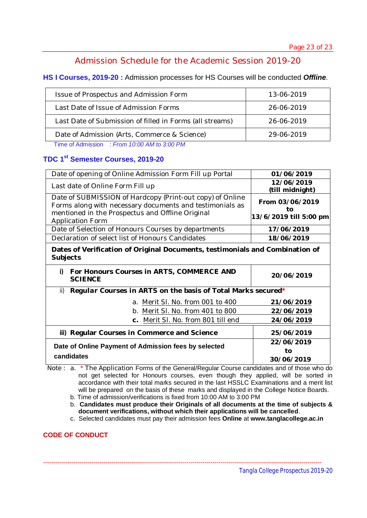# Admission Schedule for the Academic Session 2019-20

# **HS I Courses, 2019-20 :** Admission processes for HS Courses will be conducted *Offline.*

| Issue of Prospectus and Admission Form                   | 13-06-2019 |  |
|----------------------------------------------------------|------------|--|
| Last Date of Issue of Admission Forms                    | 26-06-2019 |  |
| Last Date of Submission of filled in Forms (all streams) | 26-06-2019 |  |
| Date of Admission (Arts, Commerce & Science)             | 29-06-2019 |  |
| Time of Admission : From 10:00 AM to 3:00 PM             |            |  |

# **TDC 1st Semester Courses, 2019-20**

| Date of opening of Online Admission Form Fill up Portal                                                                                                                                              | 01/06/2019                                      |  |  |  |
|------------------------------------------------------------------------------------------------------------------------------------------------------------------------------------------------------|-------------------------------------------------|--|--|--|
| Last date of Online Form Fill up                                                                                                                                                                     | 12/06/2019<br>(till midnight)                   |  |  |  |
| Date of SUBMISSION of Hardcopy (Print-out copy) of Online<br>Forms along with necessary documents and testimonials as<br>mentioned in the Prospectus and Offline Original<br><b>Application Form</b> | From 03/06/2019<br>to<br>13/6/2019 till 5:00 pm |  |  |  |
| Date of Selection of Honours Courses by departments                                                                                                                                                  | 17/06/2019                                      |  |  |  |
| Declaration of select list of Honours Candidates                                                                                                                                                     | 18/06/2019                                      |  |  |  |
| Dates of Verification of Original Documents, testimonials and Combination of<br>Subjects                                                                                                             |                                                 |  |  |  |
| For Honours Courses in ARTS, COMMERCE AND<br>i)<br><b>SCIENCE</b>                                                                                                                                    | 20/06/2019                                      |  |  |  |
| Regular Courses in ARTS on the basis of Total Marks secured*<br>ii)                                                                                                                                  |                                                 |  |  |  |
| a. Merit SI. No. from 001 to 400                                                                                                                                                                     | 21/06/2019                                      |  |  |  |
| b. Merit SI. No. from 401 to 800                                                                                                                                                                     | 22/06/2019                                      |  |  |  |
| c. Merit SI. No. from 801 till end                                                                                                                                                                   | 24/06/2019                                      |  |  |  |
| iii) Regular Courses in Commerce and Science                                                                                                                                                         | 25/06/2019                                      |  |  |  |
| Date of Online Payment of Admission fees by selected                                                                                                                                                 | 22/06/2019                                      |  |  |  |
| candidates                                                                                                                                                                                           | to                                              |  |  |  |
|                                                                                                                                                                                                      | 30/06/2019                                      |  |  |  |

Note : a. \* The Application Forms of the General/Regular Course candidates and of those who do not get selected for Honours courses, even though they applied, will be sorted in accordance with their total marks secured in the last HSSLC Examinations and a merit list will be prepared on the basis of these marks and displayed in the College Notice Boards. b. Time of admission/verifications is fixed from 10:00 AM to 3:00 PM

- b. **Candidates must produce their Originals of all documents at the time of subjects & document verifications, without which their applications will be cancelled**.
- c. Selected candidates must pay their admission fees **Online** at **www.tanglacollege.ac.in**

*------------------------------------------------------------------------------------------------------------------------------------------*

# **CODE OF CONDUCT**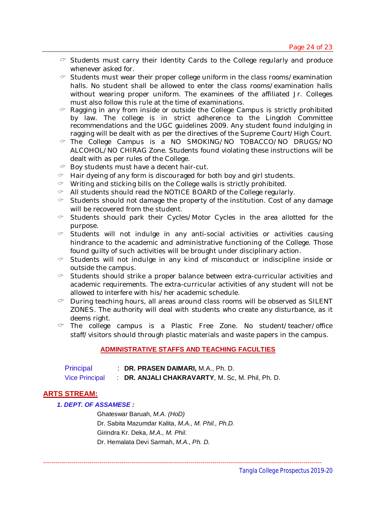- $\degree$  Students must carry their Identity Cards to the College regularly and produce whenever asked for.
- $\degree$  Students must wear their proper college uniform in the class rooms/examination halls. No student shall be allowed to enter the class rooms/examination halls without wearing proper uniform. The examinees of the affiliated Jr. Colleges must also follow this rule at the time of examinations.
- $\degree$  Ragging in any from inside or outside the College Campus is strictly prohibited by law. The college is in strict adherence to the Lingdoh Committee recommendations and the UGC guidelines 2009. Any student found indulging in ragging will be dealt with as per the directives of the Supreme Court/High Court.
- The College Campus is a NO SMOKING/NO TOBACCO/NO DRUGS/NO ALCOHOL/NO CHIRAG Zone. Students found violating these instructions will be dealt with as per rules of the College.
- $\degree$  Boy students must have a decent hair-cut.
- $\degree$  Hair dyeing of any form is discouraged for both boy and girl students.
- $\degree$  Writing and sticking bills on the College walls is strictly prohibited.
- $\degree$  All students should read the NOTICE BOARD of the College regularly.
- $\infty$  Students should not damage the property of the institution. Cost of any damage will be recovered from the student.
- $\degree$  Students should park their Cycles/Motor Cycles in the area allotted for the purpose.
- $\infty$  Students will not indulge in any anti-social activities or activities causing hindrance to the academic and administrative functioning of the College. Those found guilty of such activities will be brought under disciplinary action.
- $\infty$  Students will not indulge in any kind of misconduct or indiscipline inside or outside the campus.
- $\degree$  Students should strike a proper balance between extra-curricular activities and academic requirements. The extra-curricular activities of any student will not be allowed to interfere with his/her academic schedule.
- $\degree$  During teaching hours, all areas around class rooms will be observed as SILENT ZONES. The authority will deal with students who create any disturbance, as it deems right.
- $\degree$  The college campus is a Plastic Free Zone. No student/teacher/office staff/visitors should through plastic materials and waste papers in the campus.

# **ADMINISTRATIVE STAFFS AND TEACHING FACULTIES**

| Principal             | : DR. PRASEN DAIMARI, M.A., Ph. D.               |
|-----------------------|--------------------------------------------------|
| <b>Vice Principal</b> | : DR. ANJALI CHAKRAVARTY, M. Sc, M. Phil, Ph. D. |

# **ARTS STREAM:**

# *1. DEPT. OF ASSAMESE :*

Ghateswar Baruah, *M.A. (HoD)* Dr. Sabita Mazumdar Kalita, *M.A., M. Phil., Ph.D.* Girindra Kr. Deka, *M.A., M. Phil.* Dr. Hemalata Devi Sarmah, *M.A., Ph. D.*

*------------------------------------------------------------------------------------------------------------------------------------------*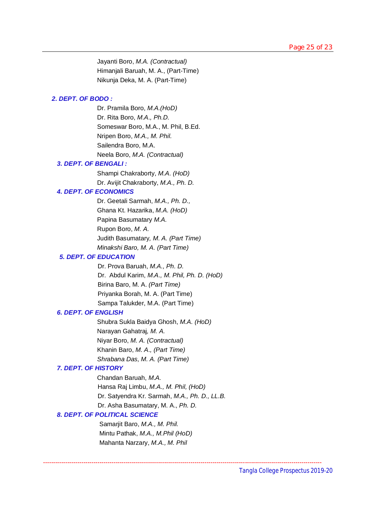Jayanti Boro, *M.A. (Contractual)* Himanjali Baruah, M. A., (Part-Time) Nikunja Deka, M. A. (Part-Time)

### *2. DEPT. OF BODO :*

Dr. Pramila Boro, *M.A.(HoD)* Dr. Rita Boro, *M.A., Ph.D.* Someswar Boro, M.A., M. Phil, B.Ed. Nripen Boro, *M.A., M. Phil.* Sailendra Boro, M.A. Neela Boro, *M.A. (Contractual)*

#### *3. DEPT. OF BENGALI :*

Shampi Chakraborty, *M.A. (HoD)* Dr. Avijit Chakraborty, *M.A., Ph. D.*

#### *4. DEPT. OF ECONOMICS*

Dr. Geetali Sarmah, *M.A., Ph. D.,*  Ghana Kt. Hazarika, *M.A. (HoD)* Papina Basumatary *M.A.*  Rupon Boro, *M. A.* Judith Basumatary*, M. A. (Part Time) Minakshi Baro, M. A. (Part Time)*

#### *5. DEPT. OF EDUCATION*

Dr. Prova Baruah, *M.A., Ph. D.* Dr. Abdul Karim, *M.A., M. Phil, Ph. D. (HoD)* Birina Baro, M. A. *(Part Time)* Priyanka Borah, M. A. (Part Time) Sampa Talukder, M.A. (Part Time)

### *6. DEPT. OF ENGLISH*

Shubra Sukla Baidya Ghosh, *M.A. (HoD)* Narayan Gahatraj*, M. A.* Niyar Boro, *M. A. (Contractual)* Khanin Baro, *M. A., (Part Time) Shrabana Das, M. A. (Part Time)*

### *7. DEPT. OF HISTORY*

Chandan Baruah, *M.A.*  Hansa Raj Limbu, *M.A., M. Phil, (HoD)* Dr. Satyendra Kr. Sarmah, *M.A., Ph. D., LL.B.* Dr. Asha Basumatary, M. A., *Ph. D.*

*------------------------------------------------------------------------------------------------------------------------------------------*

### *8. DEPT. OF POLITICAL SCIENCE*

Samarjit Baro, *M.A., M. Phil.*  Mintu Pathak, *M.A., M.Phil (HoD)* Mahanta Narzary, *M.A., M. Phil*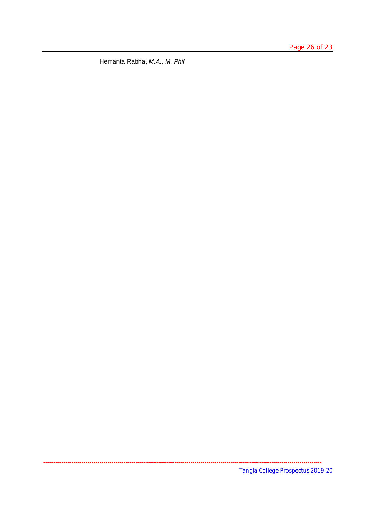Hemanta Rabha, M.A., M. Phil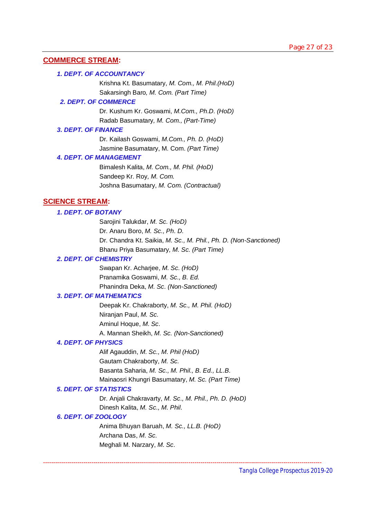### **COMMERCE STREAM:**

#### *1. DEPT. OF ACCOUNTANCY*

Krishna Kt. Basumatary, *M. Com., M. Phil.(HoD)* Sakarsingh Baro*, M. Com. (Part Time)*

### *2. DEPT. OF COMMERCE*

Dr. Kushum Kr. Goswami, *M.Com., Ph.D. (HoD)* Radab Basumatary*, M. Com., (Part-Time)*

### *3. DEPT. OF FINANCE*

Dr. Kailash Goswami, *M.Com., Ph. D. (HoD)* Jasmine Basumatary, M. Com. *(Part Time)*

### *4. DEPT. OF MANAGEMENT*

Bimalesh Kalita, *M. Com., M. Phil. (HoD)* Sandeep Kr. Roy*, M. Com.* Joshna Basumatary, *M. Com. (Contractual)*

### **SCIENCE STREAM:**

### *1. DEPT. OF BOTANY*

Sarojini Talukdar, *M. Sc. (HoD)* Dr. Anaru Boro, *M. Sc., Ph. D.* Dr. Chandra Kt. Saikia, *M. Sc., M. Phil., Ph. D. (Non-Sanctioned)* Bhanu Priya Basumatary*, M. Sc. (Part Time)*

### *2. DEPT. OF CHEMISTRY*

Swapan Kr. Acharjee, *M. Sc. (HoD)* Pranamika Goswami, *M. Sc., B. Ed.* Phanindra Deka, *M. Sc. (Non-Sanctioned)*

### *3. DEPT. OF MATHEMATICS*

Deepak Kr. Chakraborty, *M. Sc., M. Phil. (HoD)* Niranjan Paul, *M. Sc.* Aminul Hoque, *M. Sc.*

A. Mannan Sheikh, *M. Sc. (Non-Sanctioned)*

### *4. DEPT. OF PHYSICS*

Alif Agauddin, *M. Sc., M. Phil (HoD)* Gautam Chakraborty, *M. Sc.* Basanta Saharia, *M. Sc., M. Phil., B. Ed., LL.B.* Mainaosri Khungri Basumatary, *M. Sc. (Part Time)*

### *5. DEPT. OF STATISTICS*

Dr. Anjali Chakravarty, *M. Sc., M. Phil., Ph. D. (HoD)* Dinesh Kalita, *M. Sc., M. Phil.*

*------------------------------------------------------------------------------------------------------------------------------------------*

### *6. DEPT. OF ZOOLOGY*

Anima Bhuyan Baruah, *M. Sc., LL.B. (HoD)* Archana Das, *M. Sc.* Meghali M. Narzary, *M. Sc.*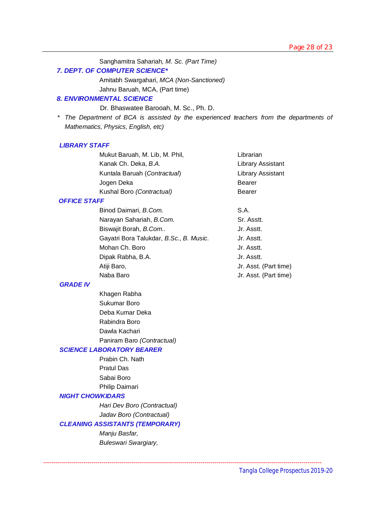Sanghamitra Sahariah*, M. Sc. (Part Time)*

#### *7. DEPT. OF COMPUTER SCIENCE\**

Amitabh Swargahari, *MCA (Non-Sanctioned)*

Jahnu Baruah, MCA, (Part time)

### *8. ENVIRONMENTAL SCIENCE*

Dr. Bhaswatee Barooah, M. Sc., Ph. D.

*\* The Department of BCA is assisted by the experienced teachers from the departments of Mathematics, Physics, English, etc)*

#### *LIBRARY STAFF*

| Mukut Baruah, M. Lib, M. Phil, | Librarian                |
|--------------------------------|--------------------------|
| Kanak Ch. Deka, <i>B.A.</i>    | <b>Library Assistant</b> |
| Kuntala Baruah (Contractual)   | <b>Library Assistant</b> |
| Jogen Deka                     | Bearer                   |
| Kushal Boro (Contractual)      | <b>Bearer</b>            |
|                                |                          |

### *OFFICE STAFF*

| Binod Daimari, B.Com.                   | S.A.                  |
|-----------------------------------------|-----------------------|
| Narayan Sahariah, B.Com.                | Sr. Asstt.            |
| Biswajit Borah, B.Com                   | Jr. Asstt.            |
| Gayatri Bora Talukdar, B.Sc., B. Music. | Jr. Asstt.            |
| Mohan Ch. Boro                          | Jr. Asstt.            |
| Dipak Rabha, B.A.                       | Jr. Asstt.            |
| Atiji Baro,                             | Jr. Asst. (Part time) |
| Naba Baro                               | Jr. Asst. (Part time) |

### *GRADE IV*

Khagen Rabha Sukumar Boro Deba Kumar Deka Rabindra Boro Dawla Kachari Paniram Baro *(Contractual)*

#### *SCIENCE LABORATORY BEARER*

Prabin Ch. Nath Pratul Das Sabai Boro Philip Daimari

### *NIGHT CHOWKIDARS*

*Hari Dev Boro (Contractual) Jadav Boro (Contractual)*

*------------------------------------------------------------------------------------------------------------------------------------------*

# *CLEANING ASSISTANTS (TEMPORARY)*

*Manju Basfar, Buleswari Swargiary,*